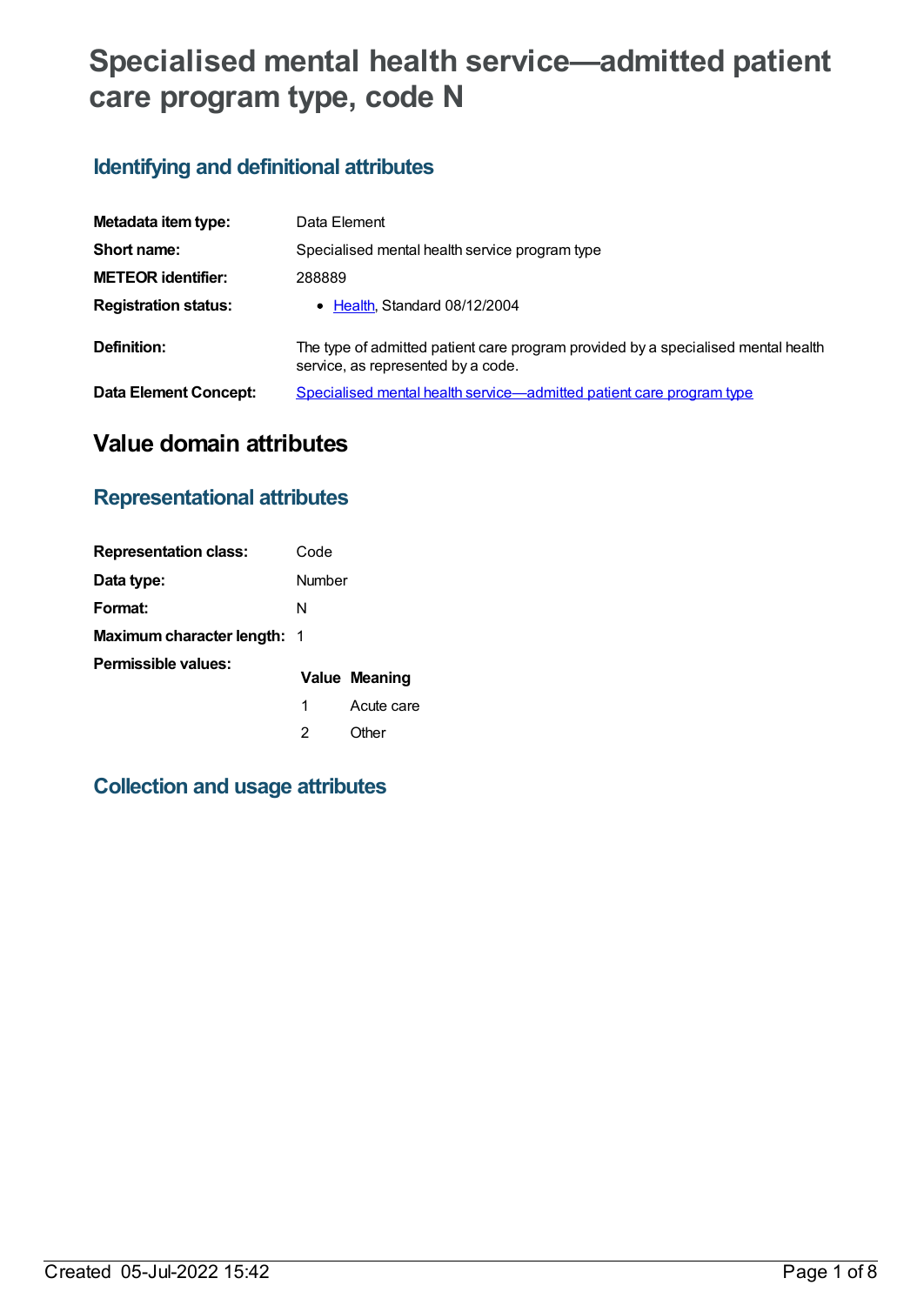# **Specialised mental health service—admitted patient care program type, code N**

# **Identifying and definitional attributes**

| Metadata item type:          | Data Element                                                                                                            |  |
|------------------------------|-------------------------------------------------------------------------------------------------------------------------|--|
| Short name:                  | Specialised mental health service program type                                                                          |  |
| <b>METEOR identifier:</b>    | 288889                                                                                                                  |  |
| <b>Registration status:</b>  | • Health, Standard 08/12/2004                                                                                           |  |
| Definition:                  | The type of admitted patient care program provided by a specialised mental health<br>service, as represented by a code. |  |
| <b>Data Element Concept:</b> | Specialised mental health service—admitted patient care program type                                                    |  |

# **Value domain attributes**

### **Representational attributes**

| <b>Representation class:</b>       | Code   |               |
|------------------------------------|--------|---------------|
| Data type:                         | Number |               |
| Format:                            | N      |               |
| <b>Maximum character length: 1</b> |        |               |
| Permissible values:                |        | Value Meaning |
|                                    | 1      | Acute care    |
|                                    | 2      | Other         |

### **Collection and usage attributes**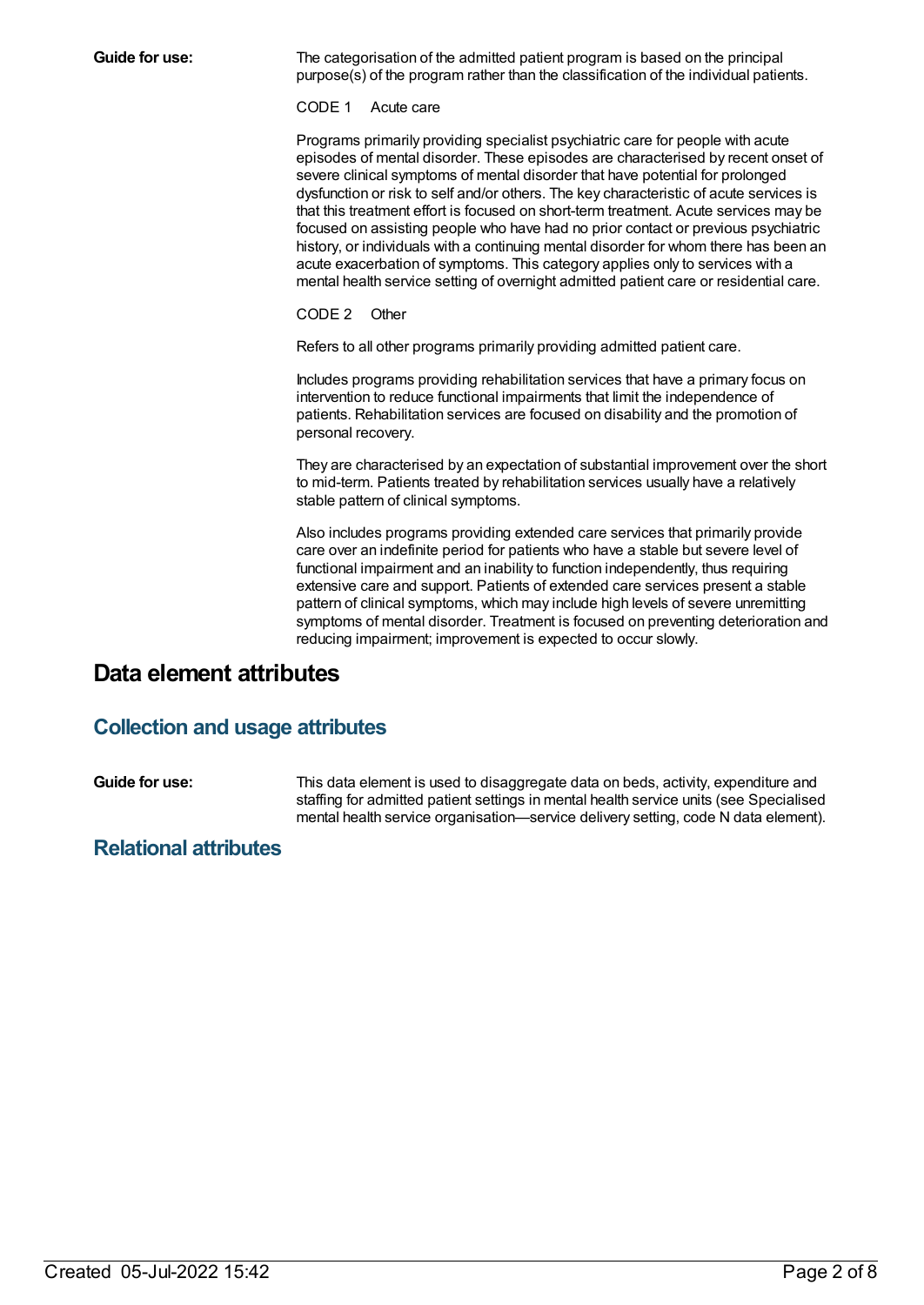**Guide for use:** The categorisation of the admitted patient program is based on the principal purpose(s) of the program rather than the classification of the individual patients.

CODE 1 Acute care

Programs primarily providing specialist psychiatric care for people with acute episodes of mental disorder. These episodes are characterised by recent onset of severe clinical symptoms of mental disorder that have potential for prolonged dysfunction or risk to self and/or others. The key characteristic of acute services is that this treatment effort is focused on short-term treatment. Acute services may be focused on assisting people who have had no prior contact or previous psychiatric history, or individuals with a continuing mental disorder for whom there has been an acute exacerbation of symptoms. This category applies only to services with a mental health service setting of overnight admitted patient care or residential care.

CODE 2 Other

Refers to all other programs primarily providing admitted patient care.

Includes programs providing rehabilitation services that have a primary focus on intervention to reduce functional impairments that limit the independence of patients. Rehabilitation services are focused on disability and the promotion of personal recovery.

They are characterised by an expectation of substantial improvement over the short to mid-term. Patients treated by rehabilitation services usually have a relatively stable pattern of clinical symptoms.

Also includes programs providing extended care services that primarily provide care over an indefinite period for patients who have a stable but severe level of functional impairment and an inability to function independently, thus requiring extensive care and support. Patients of extended care services present a stable pattern of clinical symptoms, which may include high levels of severe unremitting symptoms of mental disorder. Treatment is focused on preventing deterioration and reducing impairment; improvement is expected to occur slowly.

### **Data element attributes**

#### **Collection and usage attributes**

**Guide for use:** This data element is used to disaggregate data on beds, activity, expenditure and staffing for admitted patient settings in mental health service units (see Specialised mental health service organisation—service delivery setting, code N data element).

#### **Relational attributes**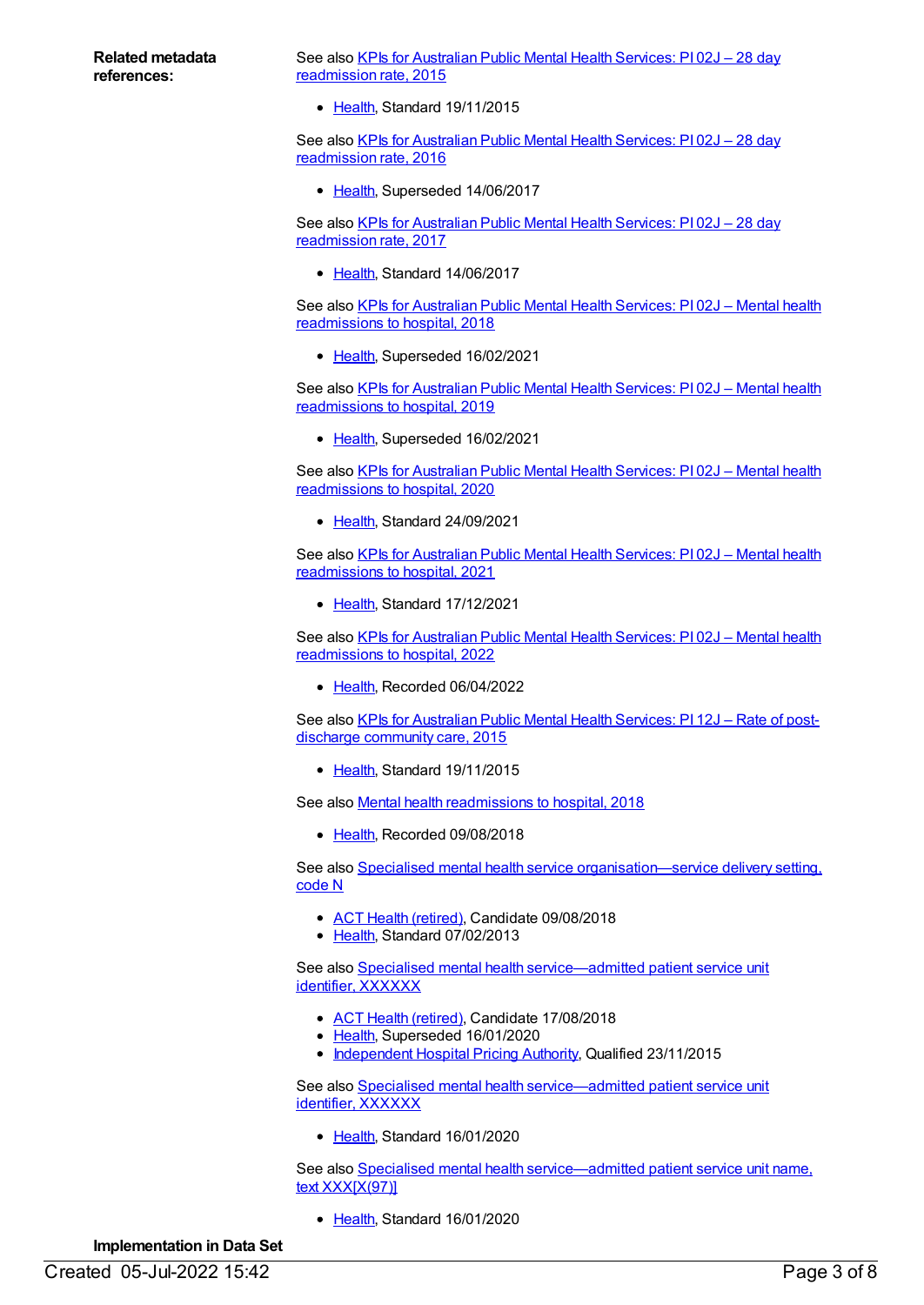See also KPIs for Australian Public Mental Health Services: PI 02J - 28 day [readmission](https://meteor.aihw.gov.au/content/585913) rate, 2015

• [Health](https://meteor.aihw.gov.au/RegistrationAuthority/12), Standard 19/11/2015

See also KPIs for Australian Public Mental Health Services: PI 02J - 28 day [readmission](https://meteor.aihw.gov.au/content/630360) rate, 2016

[Health](https://meteor.aihw.gov.au/RegistrationAuthority/12), Superseded 14/06/2017

See also KPIs for Australian Public Mental Health Services: PI 02J - 28 day [readmission](https://meteor.aihw.gov.au/content/663806) rate, 2017

• [Health](https://meteor.aihw.gov.au/RegistrationAuthority/12), Standard 14/06/2017

See also KPIs for Australian Public Mental Health Services: PI 02J – Mental health [readmissions](https://meteor.aihw.gov.au/content/692976) to hospital, 2018

• [Health](https://meteor.aihw.gov.au/RegistrationAuthority/12), Superseded 16/02/2021

See also KPIs for Australian Public Mental Health Services: PI 02J - Mental health [readmissions](https://meteor.aihw.gov.au/content/709394) to hospital, 2019

• [Health](https://meteor.aihw.gov.au/RegistrationAuthority/12), Superseded 16/02/2021

See also KPIs for Australian Public Mental Health Services: PI 02J - Mental health [readmissions](https://meteor.aihw.gov.au/content/723381) to hospital, 2020

• [Health](https://meteor.aihw.gov.au/RegistrationAuthority/12), Standard 24/09/2021

See also KPIs for Australian Public Mental Health Services: PI 02J – Mental health [readmissions](https://meteor.aihw.gov.au/content/739871) to hospital, 2021

• [Health](https://meteor.aihw.gov.au/RegistrationAuthority/12), Standard 17/12/2021

See also KPIs for Australian Public Mental Health Services: PI 02J - Mental health [readmissions](https://meteor.aihw.gov.au/content/753238) to hospital, 2022

• [Health](https://meteor.aihw.gov.au/RegistrationAuthority/12), Recorded 06/04/2022

See also KPIs for [Australian](https://meteor.aihw.gov.au/content/596977) Public Mental Health Services: PI 12J - Rate of postdischarge community care, 2015

• [Health](https://meteor.aihw.gov.au/RegistrationAuthority/12), Standard 19/11/2015

See also Mental health [readmissions](https://meteor.aihw.gov.au/content/697766) to hospital, 2018

• [Health](https://meteor.aihw.gov.au/RegistrationAuthority/12), Recorded 09/08/2018

See also Specialised mental health service [organisation—service](https://meteor.aihw.gov.au/content/493347) delivery setting, code N

- ACT Health [\(retired\)](https://meteor.aihw.gov.au/RegistrationAuthority/9), Candidate 09/08/2018
- [Health](https://meteor.aihw.gov.au/RegistrationAuthority/12), Standard 07/02/2013

See also Specialised mental health [service—admitted](https://meteor.aihw.gov.au/content/404390) patient service unit identifier, XXXXXX

- ACT Health [\(retired\)](https://meteor.aihw.gov.au/RegistrationAuthority/9), Candidate 17/08/2018
- [Health](https://meteor.aihw.gov.au/RegistrationAuthority/12), Superseded 16/01/2020
- [Independent](https://meteor.aihw.gov.au/RegistrationAuthority/3) Hospital Pricing Authority, Qualified 23/11/2015

See also Specialised mental health [service—admitted](https://meteor.aihw.gov.au/content/721740) patient service unit identifier, XXXXXX

• [Health](https://meteor.aihw.gov.au/RegistrationAuthority/12), Standard 16/01/2020

See also Specialised mental health [service—admitted](https://meteor.aihw.gov.au/content/721830) patient service unit name, text XXX[X(97)]

• [Health](https://meteor.aihw.gov.au/RegistrationAuthority/12), Standard 16/01/2020

**Implementation in Data Set**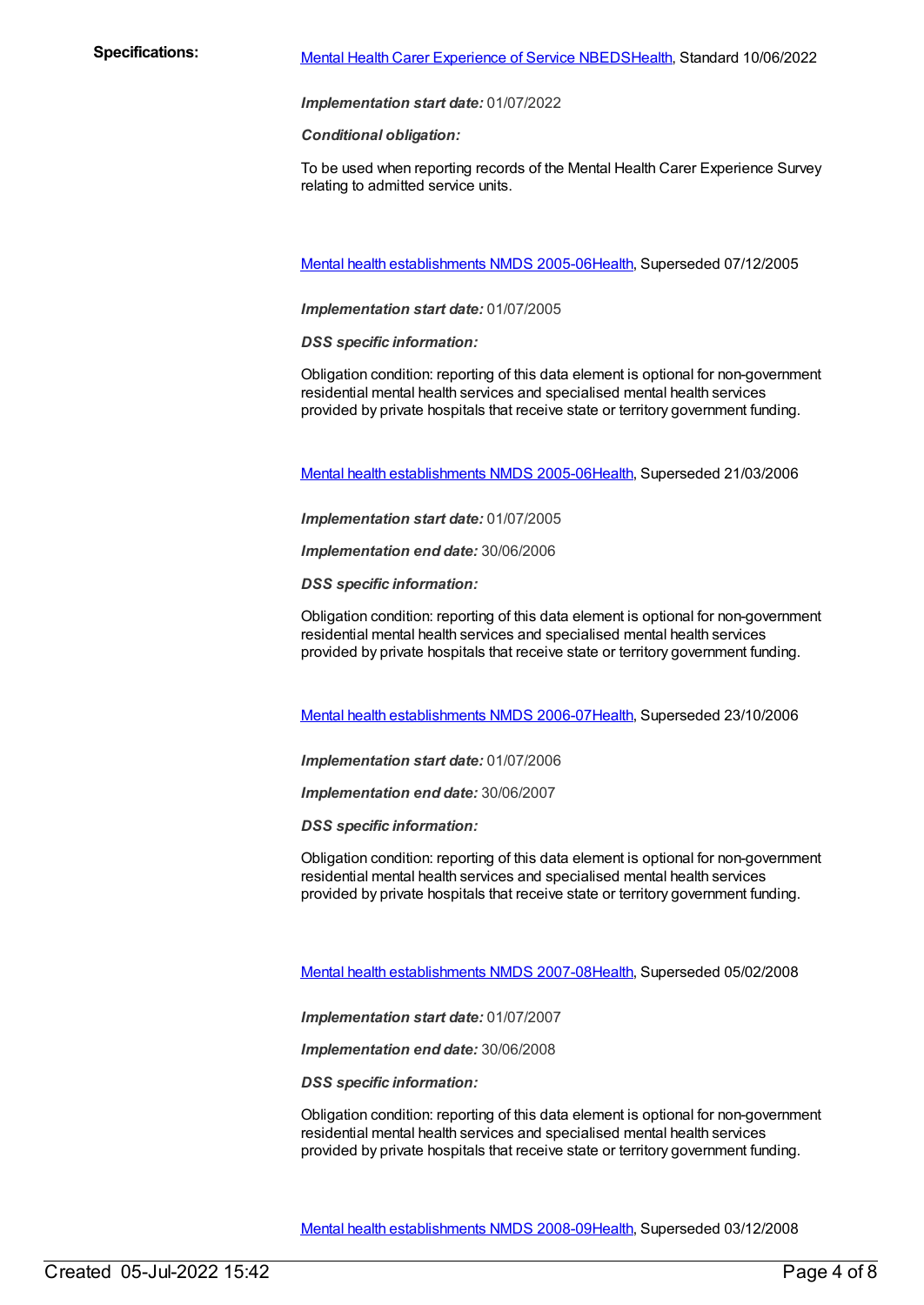*Implementation start date:* 01/07/2022

*Conditional obligation:*

To be used when reporting records of the Mental Health Carer Experience Survey relating to admitted service units.

Mental health [establishments](https://meteor.aihw.gov.au/content/298027) NMDS 2005-06[Health](https://meteor.aihw.gov.au/RegistrationAuthority/12), Superseded 07/12/2005

*Implementation start date:* 01/07/2005

*DSS specific information:*

Obligation condition: reporting of this data element is optional for non-government residential mental health services and specialised mental health services provided by private hospitals that receive state or territory government funding.

Mental health [establishments](https://meteor.aihw.gov.au/content/311875) NMDS 2005-06[Health](https://meteor.aihw.gov.au/RegistrationAuthority/12), Superseded 21/03/2006

*Implementation start date:* 01/07/2005

*Implementation end date:* 30/06/2006

*DSS specific information:*

Obligation condition: reporting of this data element is optional for non-government residential mental health services and specialised mental health services provided by private hospitals that receive state or territory government funding.

Mental health [establishments](https://meteor.aihw.gov.au/content/334283) NMDS 2006-07[Health](https://meteor.aihw.gov.au/RegistrationAuthority/12), Superseded 23/10/2006

*Implementation start date:* 01/07/2006

*Implementation end date:* 30/06/2007

*DSS specific information:*

Obligation condition: reporting of this data element is optional for non-government residential mental health services and specialised mental health services provided by private hospitals that receive state or territory government funding.

Mental health [establishments](https://meteor.aihw.gov.au/content/345134) NMDS 2007-08[Health](https://meteor.aihw.gov.au/RegistrationAuthority/12), Superseded 05/02/2008

*Implementation start date:* 01/07/2007

*Implementation end date:* 30/06/2008

*DSS specific information:*

Obligation condition: reporting of this data element is optional for non-government residential mental health services and specialised mental health services provided by private hospitals that receive state or territory government funding.

Mental health [establishments](https://meteor.aihw.gov.au/content/362299) NMDS 2008-09[Health](https://meteor.aihw.gov.au/RegistrationAuthority/12), Superseded 03/12/2008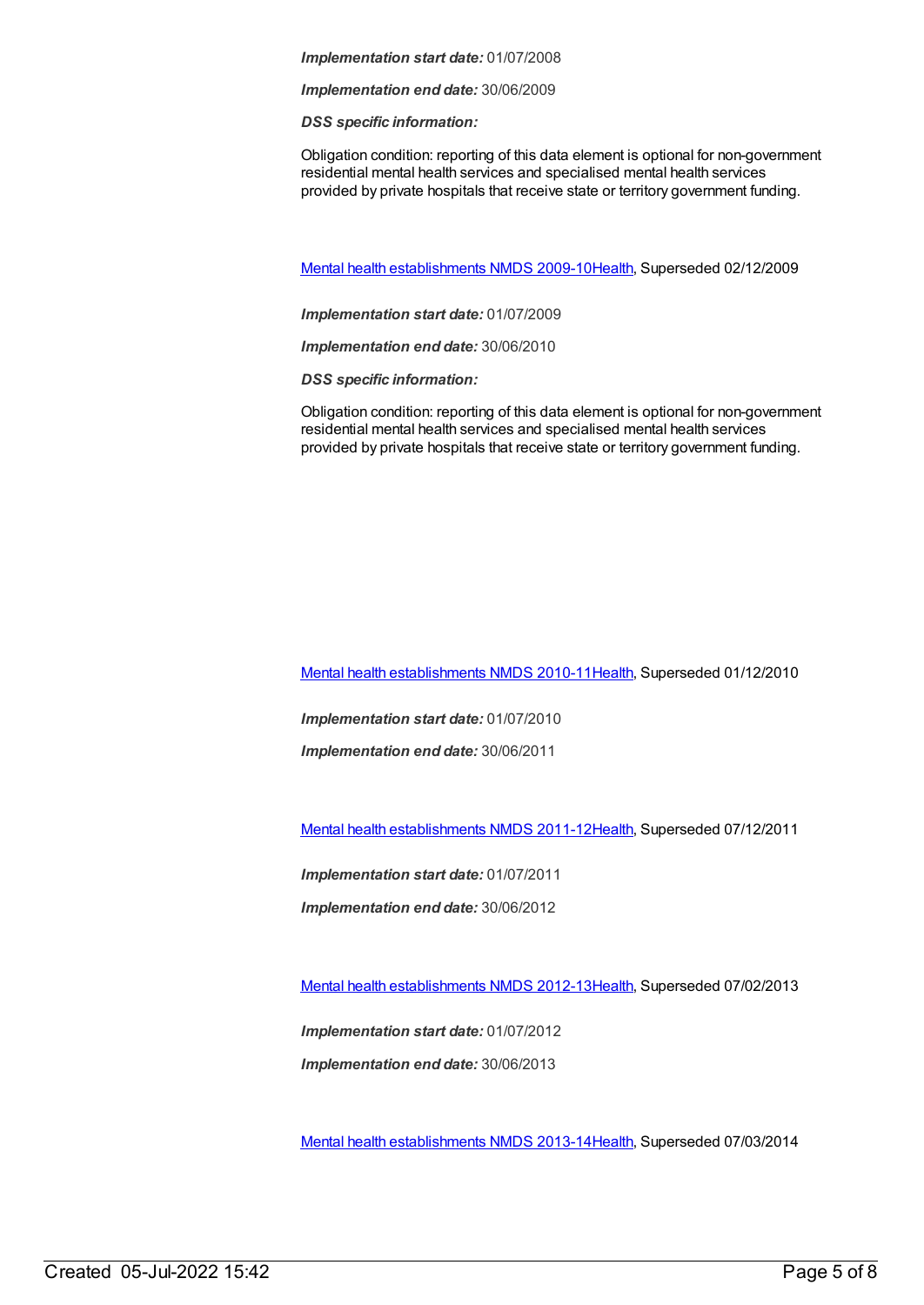#### *Implementation start date:* 01/07/2008

*Implementation end date:* 30/06/2009

*DSS specific information:*

Obligation condition: reporting of this data element is optional for non-government residential mental health services and specialised mental health services provided by private hospitals that receive state or territory government funding.

Mental health [establishments](https://meteor.aihw.gov.au/content/374981) NMDS 2009-10[Health](https://meteor.aihw.gov.au/RegistrationAuthority/12), Superseded 02/12/2009

*Implementation start date:* 01/07/2009

*Implementation end date:* 30/06/2010

*DSS specific information:*

Obligation condition: reporting of this data element is optional for non-government residential mental health services and specialised mental health services provided by private hospitals that receive state or territory government funding.

Mental health [establishments](https://meteor.aihw.gov.au/content/378611) NMDS 2010-11[Health](https://meteor.aihw.gov.au/RegistrationAuthority/12), Superseded 01/12/2010

*Implementation start date:* 01/07/2010

*Implementation end date:* 30/06/2011

Mental health [establishments](https://meteor.aihw.gov.au/content/424725) NMDS 2011-12[Health](https://meteor.aihw.gov.au/RegistrationAuthority/12), Superseded 07/12/2011

*Implementation start date:* 01/07/2011

*Implementation end date:* 30/06/2012

Mental health [establishments](https://meteor.aihw.gov.au/content/468195) NMDS 2012-13[Health](https://meteor.aihw.gov.au/RegistrationAuthority/12), Superseded 07/02/2013

*Implementation start date:* 01/07/2012

*Implementation end date:* 30/06/2013

Mental health [establishments](https://meteor.aihw.gov.au/content/493652) NMDS 2013-14[Health](https://meteor.aihw.gov.au/RegistrationAuthority/12), Superseded 07/03/2014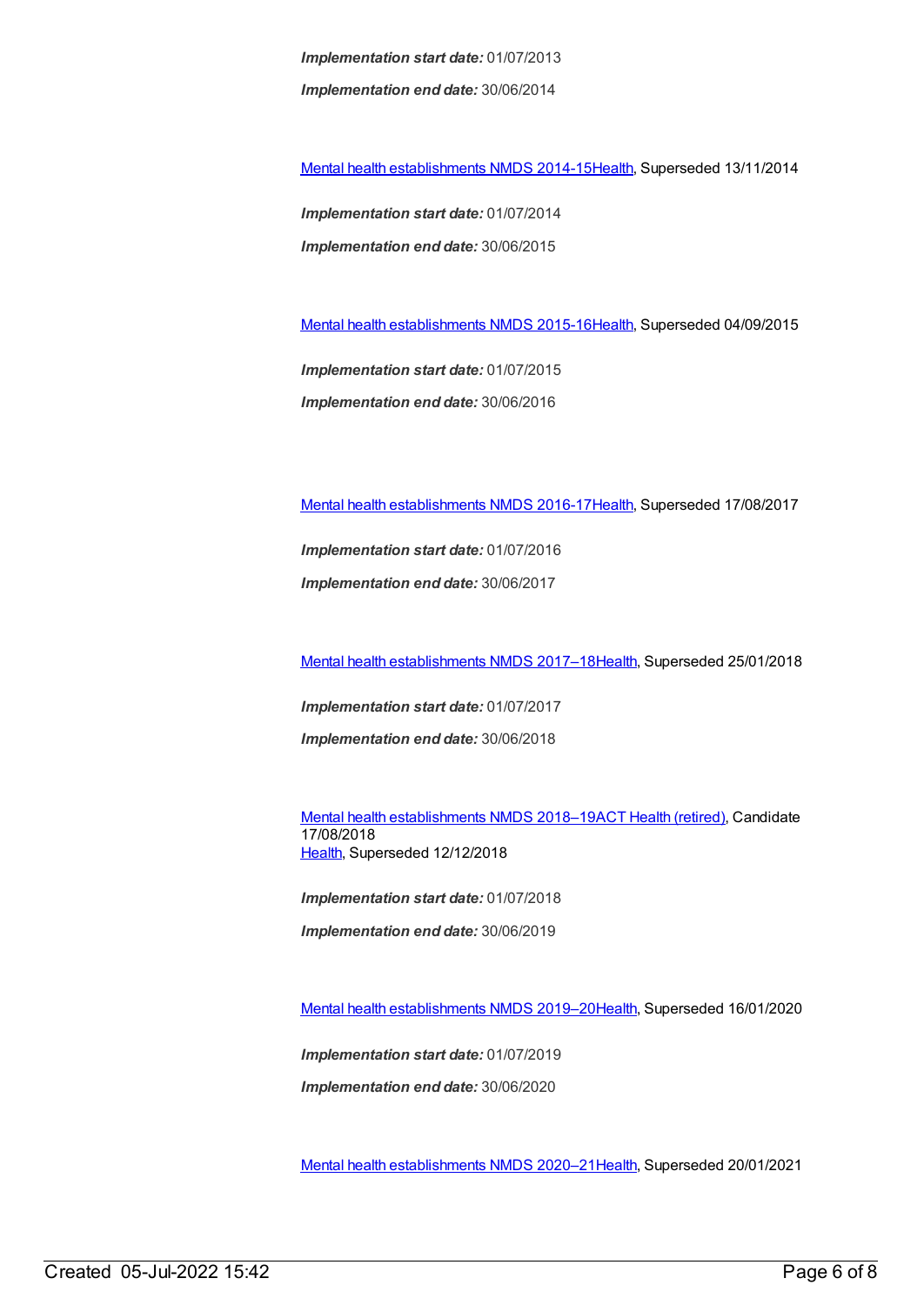*Implementation start date:* 01/07/2013 *Implementation end date:* 30/06/2014

Mental health [establishments](https://meteor.aihw.gov.au/content/546889) NMDS 2014-15[Health](https://meteor.aihw.gov.au/RegistrationAuthority/12), Superseded 13/11/2014

*Implementation start date:* 01/07/2014 *Implementation end date:* 30/06/2015

Mental health [establishments](https://meteor.aihw.gov.au/content/565661) NMDS 2015-16[Health](https://meteor.aihw.gov.au/RegistrationAuthority/12), Superseded 04/09/2015

*Implementation start date:* 01/07/2015 *Implementation end date:* 30/06/2016

Mental health [establishments](https://meteor.aihw.gov.au/content/605829) NMDS 2016-17[Health](https://meteor.aihw.gov.au/RegistrationAuthority/12), Superseded 17/08/2017

*Implementation start date:* 01/07/2016 *Implementation end date:* 30/06/2017

Mental health [establishments](https://meteor.aihw.gov.au/content/645723) NMDS 2017–1[8Health](https://meteor.aihw.gov.au/RegistrationAuthority/12), Superseded 25/01/2018

*Implementation start date:* 01/07/2017

*Implementation end date:* 30/06/2018

Mental health [establishments](https://meteor.aihw.gov.au/content/677892) NMDS 2018-19ACT Health [\(retired\)](https://meteor.aihw.gov.au/RegistrationAuthority/9), Candidate 17/08/2018 [Health](https://meteor.aihw.gov.au/RegistrationAuthority/12), Superseded 12/12/2018

*Implementation start date:* 01/07/2018

*Implementation end date:* 30/06/2019

Mental health [establishments](https://meteor.aihw.gov.au/content/707557) NMDS 2019–2[0Health](https://meteor.aihw.gov.au/RegistrationAuthority/12), Superseded 16/01/2020

*Implementation start date:* 01/07/2019

*Implementation end date:* 30/06/2020

Mental health [establishments](https://meteor.aihw.gov.au/content/722168) NMDS 2020–2[1Health](https://meteor.aihw.gov.au/RegistrationAuthority/12), Superseded 20/01/2021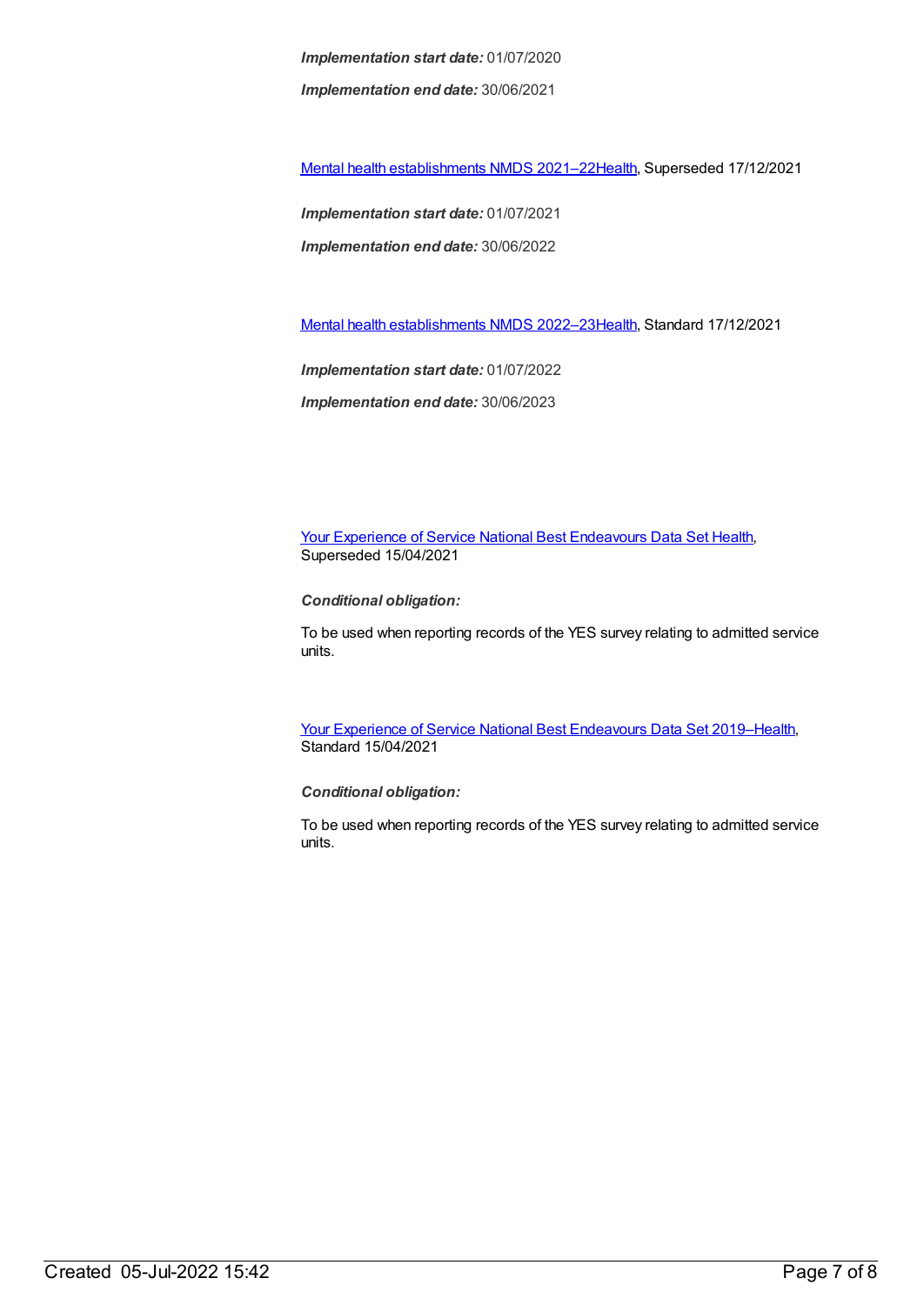*Implementation start date:* 01/07/2020 *Implementation end date:* 30/06/2021

Mental health [establishments](https://meteor.aihw.gov.au/content/727352) NMDS 2021–2[2Health](https://meteor.aihw.gov.au/RegistrationAuthority/12), Superseded 17/12/2021

*Implementation start date:* 01/07/2021 *Implementation end date:* 30/06/2022

Mental health [establishments](https://meteor.aihw.gov.au/content/742046) NMDS 2022–2[3Health](https://meteor.aihw.gov.au/RegistrationAuthority/12), Standard 17/12/2021

*Implementation start date:* 01/07/2022 *Implementation end date:* 30/06/2023

Your Experience of Service National Best [Endeavours](https://meteor.aihw.gov.au/content/635068) Data Set [Health](https://meteor.aihw.gov.au/RegistrationAuthority/12), Superseded 15/04/2021

*Conditional obligation:*

To be used when reporting records of the YES survey relating to admitted service units.

Your Experience of Service National Best [Endeavours](https://meteor.aihw.gov.au/content/738452) Data Set 2019[–Health](https://meteor.aihw.gov.au/RegistrationAuthority/12), Standard 15/04/2021

*Conditional obligation:*

To be used when reporting records of the YES survey relating to admitted service units.